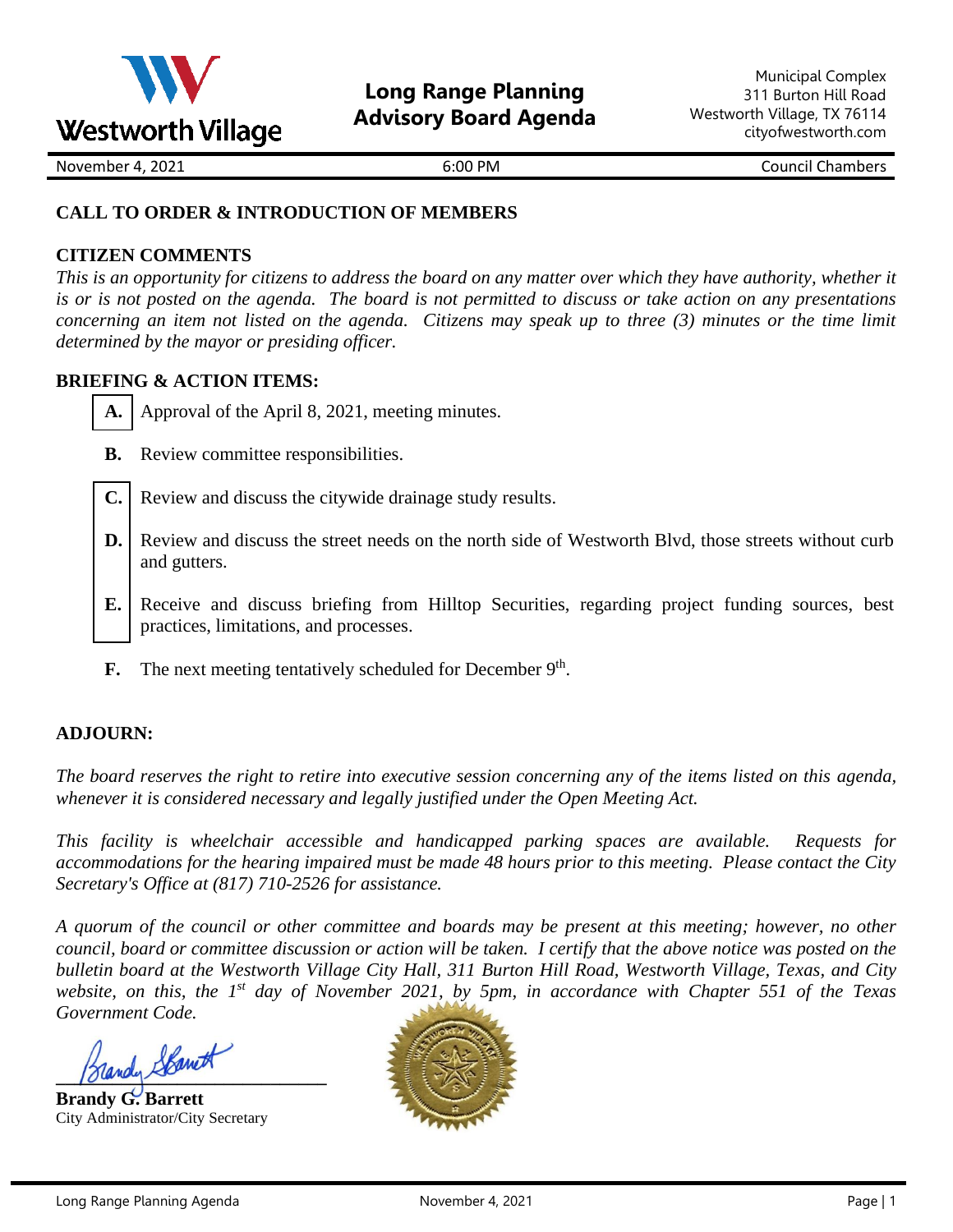<span id="page-0-0"></span>

November 4, 2021 6:00 PM Council Chambers

## **CALL TO ORDER & INTRODUCTION OF MEMBERS**

## **CITIZEN COMMENTS**

*This is an opportunity for citizens to address the board on any matter over which they have authority, whether it is or is not posted on the agenda. The board is not permitted to discuss or take action on any presentations concerning an item not listed on the agenda. Citizens may speak up to three (3) minutes or the time limit determined by the mayor or presiding officer.*

## **BRIEFING & ACTION ITEMS:**

- **[A.](#page-1-0)** Approval of the April 8, 2021, meeting minutes.
- **B.** Review committee responsibilities.
- **[C.](#page-3-0)** Review and discuss the citywide drainage study results.
- **D.** Review and discuss the street needs on the north side of Westworth Blvd, those streets without curb and gutters.
- **E.** Receive and discuss briefing from Hilltop Securities, regarding project funding sources, best practices, limitations, and processes.
- **F.** The next meeting tentatively scheduled for December 9<sup>th</sup>.

## **ADJOURN:**

*The board reserves the right to retire into executive session concerning any of the items listed on this agenda, whenever it is considered necessary and legally justified under the Open Meeting Act.*

*This facility is wheelchair accessible and handicapped parking spaces are available. Requests for accommodations for the hearing impaired must be made 48 hours prior to this meeting. Please contact the City Secretary's Office at (817) 710-2526 for assistance.*

*A quorum of the council or other committee and boards may be present at this meeting; however, no other council, board or committee discussion or action will be taken. I certify that the above notice was posted on the bulletin board at the Westworth Village City Hall, 311 Burton Hill Road, Westworth Village, Texas, and City*  website, on this, the 1<sup>st</sup> day of November 2021, by 5pm, in accordance with Chapter 551 of the Texas *Government Code.* 

**\_\_\_\_\_\_\_\_\_\_\_\_\_\_\_\_\_\_\_\_\_\_\_\_\_\_\_\_\_**

**Brandy G. Barrett** City Administrator/City Secretary

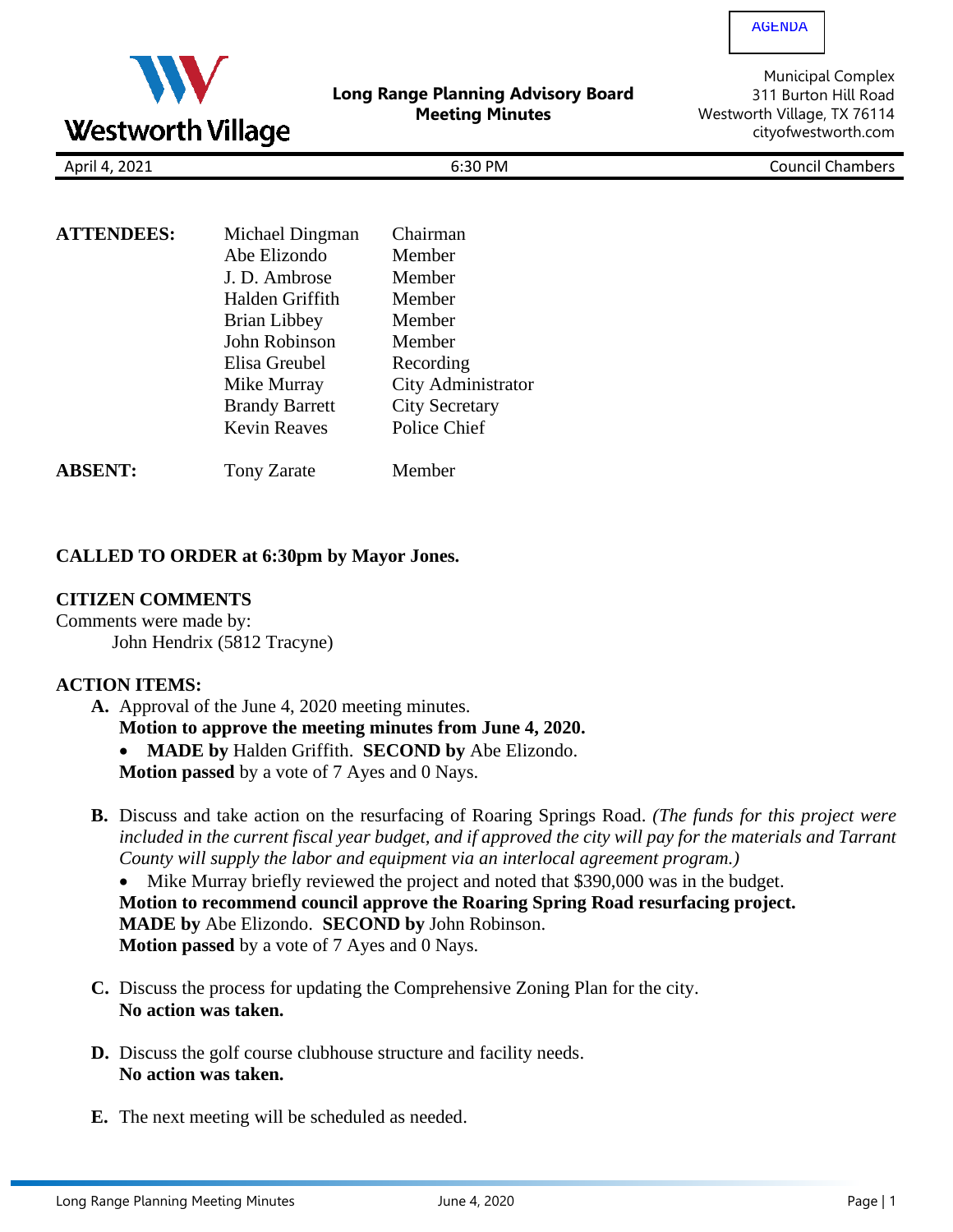<span id="page-1-0"></span>

**Long Range Planning Advisory Board Meeting Minutes**

Municipal Complex 311 Burton Hill Road Westworth Village, TX 76114 cityofwestworth.com

April 4, 2021 **6:30 PM** 6:30 PM Council Chambers

| <b>ATTENDEES:</b> | Michael Dingman       | Chairman              |  |  |  |  |  |
|-------------------|-----------------------|-----------------------|--|--|--|--|--|
|                   | Abe Elizondo          | Member                |  |  |  |  |  |
|                   | J. D. Ambrose         | Member                |  |  |  |  |  |
|                   | Halden Griffith       | Member                |  |  |  |  |  |
|                   | Brian Libbey          | Member                |  |  |  |  |  |
|                   | John Robinson         | Member                |  |  |  |  |  |
|                   | Elisa Greubel         | Recording             |  |  |  |  |  |
|                   | Mike Murray           | City Administrator    |  |  |  |  |  |
|                   | <b>Brandy Barrett</b> | <b>City Secretary</b> |  |  |  |  |  |
|                   | <b>Kevin Reaves</b>   | Police Chief          |  |  |  |  |  |
|                   |                       |                       |  |  |  |  |  |

**ABSENT:** Tony Zarate Member

### **CALLED TO ORDER at 6:30pm by Mayor Jones.**

#### **CITIZEN COMMENTS**

Comments were made by: John Hendrix (5812 Tracyne)

#### **ACTION ITEMS:**

- **A.** Approval of the June 4, 2020 meeting minutes. **Motion to approve the meeting minutes from June 4, 2020.**
	- **MADE by** Halden Griffith. **SECOND by** Abe Elizondo.

**Motion passed** by a vote of 7 Ayes and 0 Nays.

**B.** Discuss and take action on the resurfacing of Roaring Springs Road. *(The funds for this project were included in the current fiscal year budget, and if approved the city will pay for the materials and Tarrant County will supply the labor and equipment via an interlocal agreement program.)*

• Mike Murray briefly reviewed the project and noted that \$390,000 was in the budget. **Motion to recommend council approve the Roaring Spring Road resurfacing project. MADE by** Abe Elizondo. **SECOND by** John Robinson. **Motion passed** by a vote of 7 Ayes and 0 Nays.

- **C.** Discuss the process for updating the Comprehensive Zoning Plan for the city. **No action was taken.**
- **D.** Discuss the golf course clubhouse structure and facility needs. **No action was taken.**
- **E.** The next meeting will be scheduled as needed.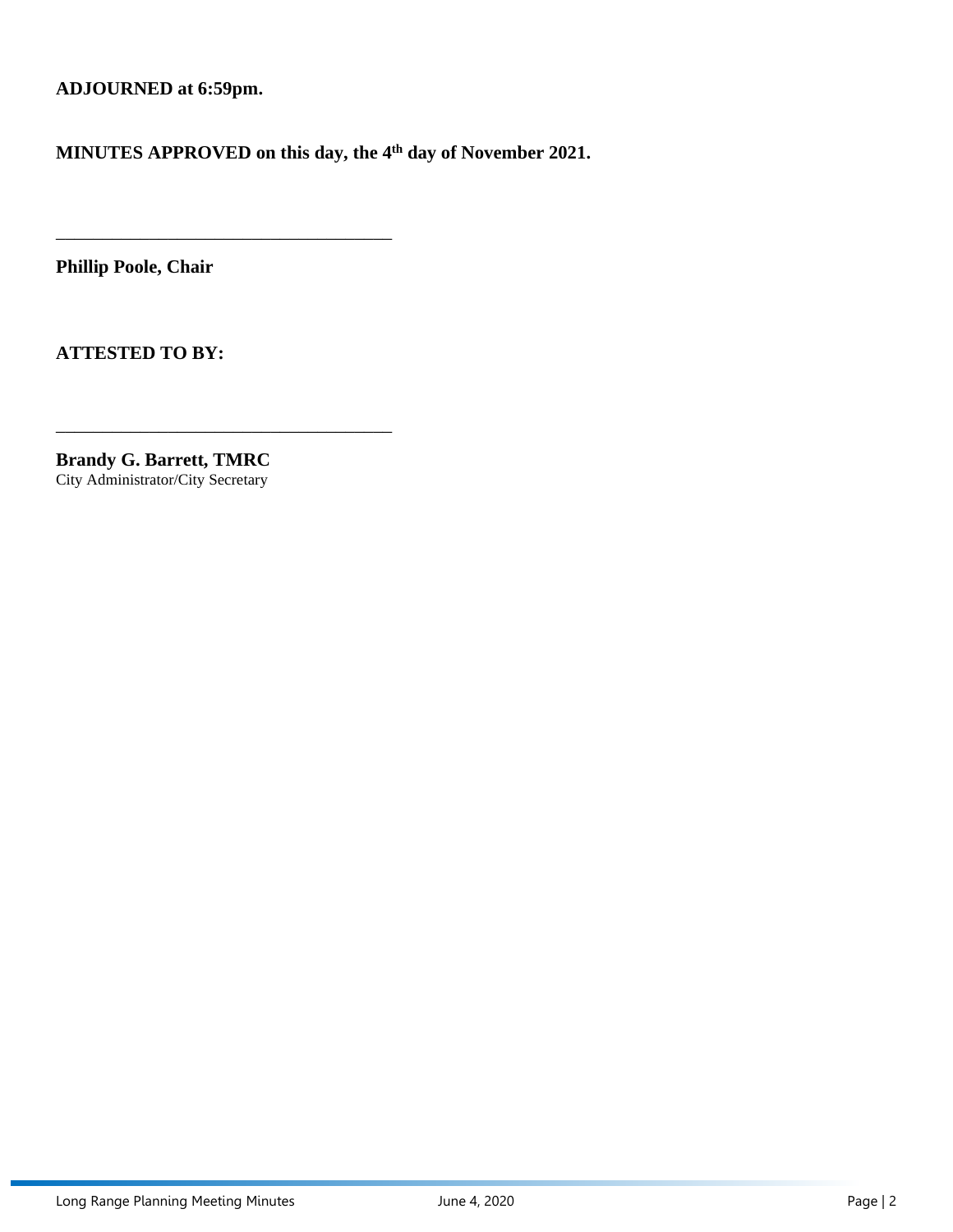**ADJOURNED at 6:59pm.** 

\_\_\_\_\_\_\_\_\_\_\_\_\_\_\_\_\_\_\_\_\_\_\_\_\_\_\_\_\_\_\_\_\_\_\_\_

\_\_\_\_\_\_\_\_\_\_\_\_\_\_\_\_\_\_\_\_\_\_\_\_\_\_\_\_\_\_\_\_\_\_\_\_

**MINUTES APPROVED on this day, the 4 th day of November 2021.** 

**Phillip Poole, Chair**

**ATTESTED TO BY:** 

**Brandy G. Barrett, TMRC** City Administrator/City Secretary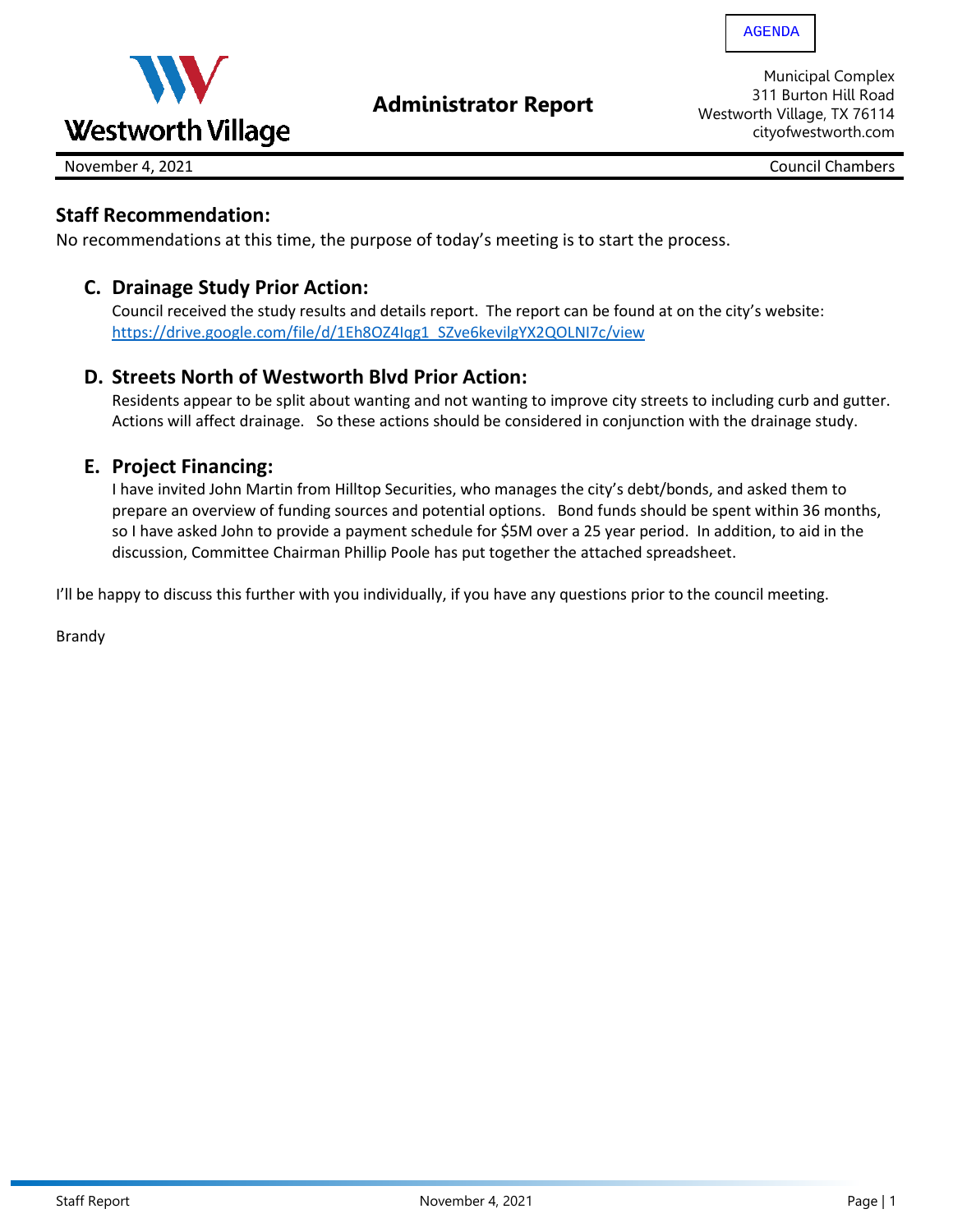<span id="page-3-0"></span>

**Administrator Report**

Municipal Complex 311 Burton Hill Road Westworth Village, TX 76114 cityofwestworth.com

November 4, 2021 Council Chambers

# **Staff Recommendation:**

No recommendations at this time, the purpose of today's meeting is to start the process.

# **C. Drainage Study Prior Action:**

Council received the study results and details report. The report can be found at on the city's website: [https://drive.google.com/file/d/1Eh8OZ4Iqg1\\_SZve6kevilgYX2QOLNI7c/view](https://drive.google.com/file/d/1Eh8OZ4Iqg1_SZve6kevilgYX2QOLNI7c/view)

# **D. Streets North of Westworth Blvd Prior Action:**

Residents appear to be split about wanting and not wanting to improve city streets to including curb and gutter. Actions will affect drainage. So these actions should be considered in conjunction with the drainage study.

### **E. Project Financing:**

I have invited John Martin from Hilltop Securities, who manages the city's debt/bonds, and asked them to prepare an overview of funding sources and potential options. Bond funds should be spent within 36 months, so I have asked John to provide a payment schedule for \$5M over a 25 year period. In addition, to aid in the discussion, Committee Chairman Phillip Poole has put together the attached spreadsheet.

I'll be happy to discuss this further with you individually, if you have any questions prior to the council meeting.

Brandy